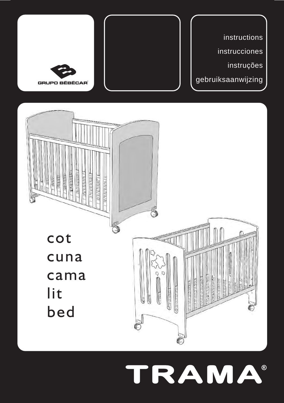

# TRAMA®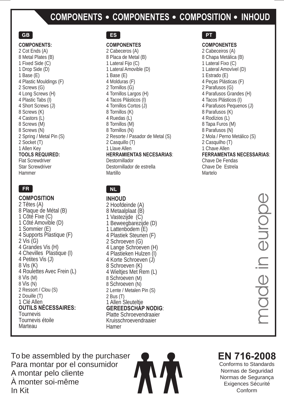### **COMPONENTS • COMPONENTES • COMPOSITION • INHOUD**

#### **GB**

#### **COMPONENTS:**

2 Cot Ends (A) 8 Metal Plates (B) 1 Fixed Side (C) 1 Drop Side (D) 1 Base (E) 4 Plastic Mouldings (F) 2 Screws (G) 4 Long Screws (H) 4 Plastic Tabs (I) 4 Short Screws (J) 8 Screws (K) 4 Castors (L) 8 Screws (M) 8 Screws (N) 2 Spring / Metal Pin (S) 2 Socket (T) 1 Allen Key **TOOLS REQUIRED:** Flat Screwdriver Star Screwdriver Hammer

**COMPOSITION** 2 Têtes (A) 8 Plaque de Métal (B) 1 Côté Fixe (C) 1 Côté Amovible (D) 1 Sommier (E) 4 Supports Plastique (F)  $2$  Vis  $(G)$ 4 Grandes Vis (H) 4 Chevilles Plastique (I) 4 Petites Vis (J) 8 Vis (K) 4 Roulettes Avec Frein (L) 8 Vis (M) 8 Vis (N) 2 Ressort / Clou (S) 2 Douille (T) 1 Clé Allen **OUTILS NÉCESSAIRES:** Tournevis Tournevis étoile Marteau

### **ES**

#### **COMPONENTES**

2 Cabeceros (A) 8 Placa de Metal (B) 1 Lateral Fijo (C) 1 Lateral Amovible (D) 1 Base (E) 4 Molduras (F) 2 Tornillos (G) 4 Tornillos Largos (H) 4 Tacos Plásticos (I) 4 Tornillos Cortos (J) 8 Tornillos (K) 4 Ruedas (L) 8 Tornillos (M) 8 Tornillos (N) 2 Resorte / Pasador de Metal (S) 2 Casquillo (T) 1 Llave Allen **HERRAMIENTAS NECESARIAS**: Destornillador Destornillador de estrella Martillo

### **FR NL**

**INHOUD** 2 Hoofdeinde (A) 8 Metaalplaat (B) 1 Vastezijde (C) 1 Beweegbarezijde (D) 1 Lattenbodem (E) 4 Plastiek Steunen (F) 2 Schroeven (G) 4 Lange Schroeven (H) 4 Plastieken Hulzen (I) 4 Korte Schroeven (J) 8 Schroeven (K) 4 Wieltjes Met Rem (L) 8 Schroeven (M) 8 Schroeven (N) 2 Lente / Metalen Pin (S) 2 Bus (T) 1 Allen Sleuteltje **GEREEDSCHAP NODIG**: Platte Schroevendraaier Kruisschroevendraaier Hamer

### **PT**

Martelo

#### **COMPONENTES**

2 Cabeceiros (A) 8 Chapa Metálica (B) 1 Lateral Fixo (C) 1 Lateral Amovível (D) 1 Estrado (E) 4 Peças Plásticas (F) 2 Parafusos (G) 4 Parafusos Grandes (H) 4 Tacos Plásticos (I) 4 Parafusos Pequenos (J) 8 Parafusos (K) 4 Rodízios (L) 8 Tapa Furos (M) 8 Parafusos (N) 2 Mola / Perno Metálico (S) 2 Casquilho (T) 1 Chave Allen **FERRAMENTAS NECESSARIAS**: Chave De Fendas Chave De Estrela

Conform<br>
Conform<br>
Conform<br>
Conform<br>
Conform

To be assembled by the purchaser Para montar por el consumidor A montar pelo cliente À monter soi-même In Kit



### **EN 716-2008**

Conforms to Standards Normas de Seguridad Normas de Segurança Exigences Sécurité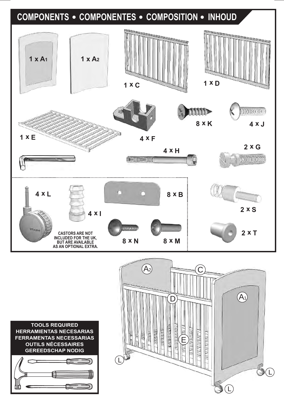

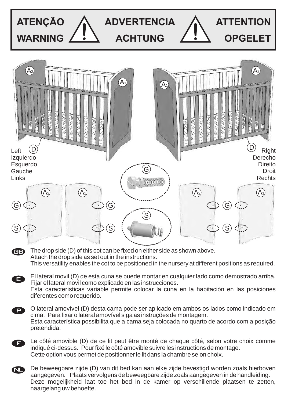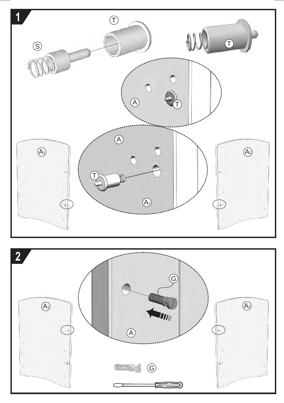

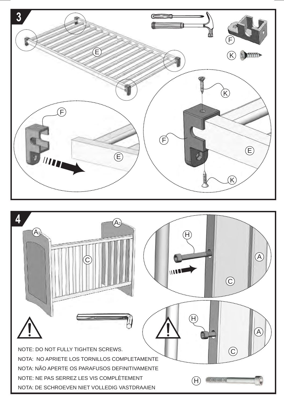

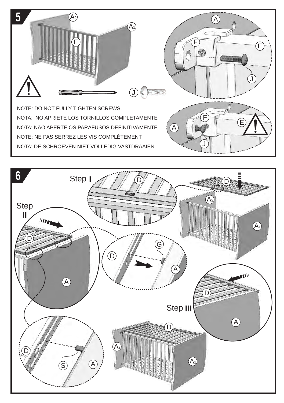

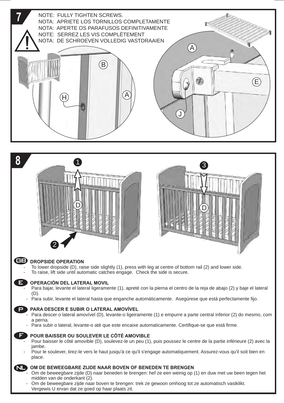

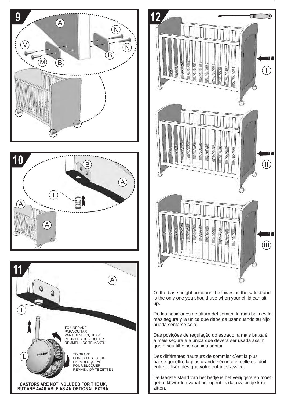







que o seu filho se consiga sentar. Des différentes hauteurs de sommier c´est la plus

basse qui offre la plus grande sécurité et celle qui doit entre utilisée dès que votre enfant s´assied.

De laagste stand van het bedje is het veiliggste en moet gebruikt worden vanaf het ogenblik dat uw kindje kan zitten.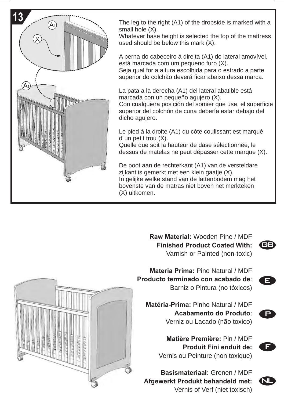

The leg to the right (A1) of the dropside is marked with a small hole (X).

Whatever base height is selected the top of the mattress used should be below this mark (X).

A perna do cabeceiro á direita (A1) do lateral amovível, está marcada com um pequeno furo (X).

Seja qual for a altura escolhida para o estrado a parte superior do colchão deverá ficar abaixo dessa marca.

La pata a la derecha (A1) del lateral abatible está marcada con un pequeño agujero (X).

Con cualquiera posición del somier que use, el superficie superior del colchón de cuna debería estar debajo del dicho agujero.

Le pied à la droite (A1) du côte coulissant est marqué d´un petit trou (X).

Quelle que soit la hauteur de dase sélectionnée, le dessus de matelas ne peut dépasser cette marque (X).

De poot aan de rechterkant (A1) van de versteldare zijkant is gemerkt met een klein gaatje (X). In gelijke welke stand van de lattenbodem mag het bovenste van de matras niet boven het merkteken (X) uitkomen.

> **Raw Material:** Wooden Pine / MDF **Finished Product Coated With:** Varnish or Painted ( non-toxic)



E

**Materia Prima:** Pino Natural / MDF **Producto terminado con acabado de**: Barniz o Pintura (no tóxicos)

**Matéria-Prima:** Pinho Natural / MDF **Acabamento do Produto**: Verniz ou Lacado (não toxico)

> **Matière Première: Pin / MDF Produit Fini enduit de:** Vernis ou Peinture (non toxique)

**Basismateriaal: Grenen / MDF Afgewerkt Produkt behandeld met:** Vernis of Verf (niet toxisch)



P



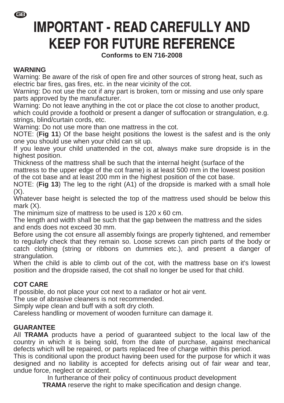-

### **IMPORTANT - READ CAREFULLY AND KEEP FOR FUTURE REFERENCE**

### **Conforms to EN 716-2008**

### **WARNING**

Warning: Be aware of the risk of open fire and other sources of strong heat, such as electric bar fires, gas fires, etc. in the near vicinity of the cot.

Warning: Do not use the cot if any part is broken, torn or missing and use only spare parts approved by the manufacturer.

Warning: Do not leave anything in the cot or place the cot close to another product, which could provide a foothold or present a danger of suffocation or strangulation, e.g. strings, blind/curtain cords, etc.

Warning: Do not use more than one mattress in the cot.

NOTE: (**Fig 11**) Of the base height positions the lowest is the safest and is the only one you should use when your child can sit up.

If you leave your child unattended in the cot, always make sure dropside is in the highest position.

Thickness of the mattress shall be such that the internal height (surface of the mattress to the upper edge of the cot frame) is at least 500 mm in the lowest position of the cot base and at least 200 mm in the highest position of the cot base.

NOTE: (**Fig 13**) The leg to the right (A1) of the dropside is marked with a small hole  $(X)$ .

Whatever base height is selected the top of the mattress used should be below this mark (X).

The minimum size of mattress to be used is 120 x 60 cm.

The length and width shall be such that the gap between the mattress and the sides and ends does not exceed 30 mm.

Before using the cot ensure all assembly fixings are properly tightened, and remember to regularly check that they remain so. Loose screws can pinch parts of the body or catch clothing (string or ribbons on dummies etc.), and present a danger of strangulation.

When the child is able to climb out of the cot, with the mattress base on it's lowest position and the dropside raised, the cot shall no longer be used for that child.

### **COT CARE**

If possible, do not place your cot next to a radiator or hot air vent.

The use of abrasive cleaners is not recommended.

Simply wipe clean and buff with a soft dry cloth.

Careless handling or movement of wooden furniture can damage it.

### **GUARANTEE**

All **TRAMA** products have a period of guaranteed subject to the local law of the country in which it is being sold, from the date of purchase, against mechanical defects which will be repaired, or parts replaced free of charge within this period.

This is conditional upon the product having been used for the purpose for which it was designed and no liability is accepted for defects arising out of fair wear and tear, undue force, neglect or accident.

In furtherance of their policy of continuous product development **TRAMA** reserve the right to make specification and design change.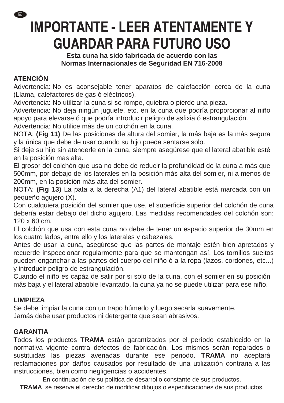ê

### **IMPORTANTE - LEER ATENTAMENTE Y GUARDAR PARA FUTURO USO**

**Esta cuna ha sido fabricada de acuerdo con las Normas Internacionales de Seguridad EN 716-2008** 

### **ATENCIÓN**

Advertencia: No es aconsejable tener aparatos de calefacción cerca de la cuna (Llama, calefactores de gas ó eléctricos).

Advertencia: No utilizar la cuna si se rompe, quiebra o pierde una pieza.

Advertencia: No deja ningún juguete, etc. en la cuna que podría proporcionar al niño apoyo para elevarse ó que podría introducir peligro de asfixia ó estrangulación.

Advertencia: No utilice más de un colchón en la cuna.

NOTA: **(Fig 11)** De las posiciones de altura del somier, la más baja es la más segura y la única que debe de usar cuando su hijo pueda sentarse solo.

Si deje su hijo sin atenderle en la cuna, siempre asegúrese que el lateral abatible esté en la posición mas alta.

El grosor del colchón que usa no debe de reducir la profundidad de la cuna a más que 500mm, por debajo de los laterales en la posición más alta del somier, ni a menos de 200mm, en la posición más alta del somier.

NOTA: **(Fig 13)** La pata a la derecha (A1) del lateral abatible está marcada con un pequeño agujero (X).

Con cualquiera posición del somier que use, el superficie superior del colchón de cuna debería estar debajo del dicho agujero. Las medidas recomendades del colchón son: 120 x 60 cm.

El colchón que usa con esta cuna no debe de tener un espacio superior de 30mm en los cuatro lados, entre ello y los laterales y cabezales.

Antes de usar la cuna, asegúrese que las partes de montaje estén bien apretados y recuerde inspeccionar regularmente para que se mantengan así. Los tornillos sueltos pueden enganchar a las partes del cuerpo del niño ó a la ropa (lazos, cordones, etc...) y introducir peligro de estrangulación.

Cuando el niño es capáz de salir por si solo de la cuna, con el somier en su posición más baja y el lateral abatible levantado, la cuna ya no se puede utilizar para ese niño.

### **LIMPIEZA**

Se debe limpiar la cuna con un trapo húmedo y luego secarla suavemente.

Jamás debe usar productos ni detergente que sean abrasivos.

### **GARANTIA**

Todos los productos **TRAMA** están garantizados por el período establecido en la normativa vigente contra defectos de fabricación. Los mismos serán reparados o sustituidas las piezas averiadas durante ese periodo. **TRAMA** no aceptará reclamaciones por daños causados por resultado de una utilización contraria a las instrucciones, bien como negligencias o accidentes.

En continuación de su política de desarrollo constante de sus productos,

**TRAMA** se reserva el derecho de modificar dibujos o especificaciones de sus productos.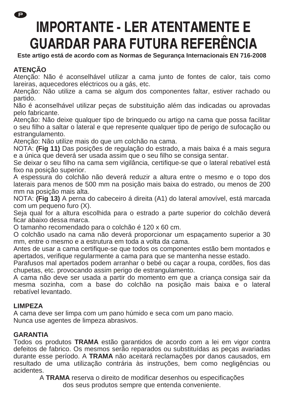Ð

### **IMPORTANTE - LER ATENTAMENTE E** GUARDAR PARA FUTURA REFERÊNCIA

**Este artigo está de acordo com as Normas de Segurança Internacionais EN 716-2008** 

### **ATENÇÃO**

Atenção: Não é aconselhável utilizar a cama junto de fontes de calor, tais como lareiras, aquecedores eléctricos ou a gás, etc.

Atenção: Não utilize a cama se algum dos componentes faltar, estiver rachado ou partido.

Não é aconselhável utilizar peças de substituição além das indicadas ou aprovadas pelo fabricante.

Atenção: Não deixe qualquer tipo de brinquedo ou artigo na cama que possa facilitar o seu filho a saltar o lateral e que represente qualquer tipo de perigo de sufocação ou estrangulamento.

Atenção: Não utilize mais do que um colchão na cama.

NOTA: **(Fig 11)** Das posições de regulação do estrado, a mais baixa é a mais segura e a única que deverá ser usada assim que o seu filho se consiga sentar.

Se deixar o seu filho na cama sem vigilância, certifique-se que o lateral rebatível está fixo na posição superior.

A espessura do colchão não deverá reduzir a altura entre o mesmo e o topo dos laterais para menos de 500 mm na posição mais baixa do estrado, ou menos de 200 mm na posição mais alta.

NOTA: **(Fig 13)** A perna do cabeceiro á direita (A1) do lateral amovível, está marcada com um pequeno furo (X).

Seja qual for a altura escolhida para o estrado a parte superior do colchão deverá ficar abaixo dessa marca.

O tamanho recomendado para o colchão é 120 x 60 cm.

O colchão usado na cama não deverá proporcionar um espaçamento superior a 30 mm, entre o mesmo e a estrutura em toda a volta da cama.

Antes de usar a cama certifique-se que todos os componentes estão bem montados e apertados, verifique regularmente a cama para que se mantenha nesse estado.

Parafusos mal apertados podem arranhar o bebé ou caçar a roupa, cordões, fios das chupetas, etc. provocando assim perigo de estrangulamento.

A cama não deve ser usada a partir do momento em que a criança consiga sair da mesma sozinha, com a base do colchão na posição mais baixa e o lateral rebatível levantado.

### **LIMPEZA**

A cama deve ser limpa com um pano húmido e seca com um pano macio. Nunca use agentes de limpeza abrasivos.

### **GARANTIA**

Todos os produtos **TRAMA** estão garantidos de acordo com a lei em vigor contra defeitos de fabrico. Os mesmos serão reparados ou substituídas as peças avariadas durante esse período. A **TRAMA** não aceitará reclamações por danos causados, em resultado de uma utilização contrária às instruções, bem como negligências ou acidentes.

A **TRAMA** reserva o direito de modificar desenhos ou especificações dos seus produtos sempre que entenda conveniente.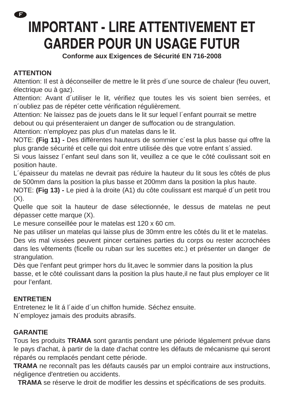ß

## **IMPORTANT - LIRE ATTENTIVEMENT ET GARDER POUR UN USAGE FUTUR**

**Conforme aux Exigences de Sécurité EN 716-2008** 

### **ATTENTION**

Attention: Il est à déconseiller de mettre le lit près d´une source de chaleur (feu ouvert, électrique ou à gaz).

Attention: Avant d´utiliser le lit, vérifiez que toutes les vis soient bien serrées, et n´oubliez pas de répéter cette vérification régulièrement.

Attention: Ne laissez pas de jouets dans le lit sur lequel l´enfant pourrait se mettre debout ou qui présenteraient un danger de suffocation ou de strangulation.

Attention: n'employez pas plus d'un matelas dans le lit.

NOTE: **(Fig 11) -** Des différentes hauteurs de sommier c´est la plus basse qui offre la plus grande sécurité et celle qui doit entre utilisée dès que votre enfant s´assied.

Si vous laissez l´enfant seul dans son lit, veuillez a ce que le côté coulissant soit en position haute.

L´épaisseur du matelas ne devrait pas réduire la hauteur du lit sous les côtés de plus de 500mm dans la position la plus basse et 200mm dans la position la plus haute.

NOTE: **(Fig 13) -** Le pied à la droite (A1) du côte coulissant est marqué d´un petit trou  $(X)$ .

Quelle que soit la hauteur de dase sélectionnée, le dessus de matelas ne peut dépasser cette marque (X).

Le mesure conseillée pour le matelas est 120 x 60 cm.

Ne pas utiliser un matelas qui laisse plus de 30mm entre les côtés du lit et le matelas. Des vis mal vissées peuvent pincer certaines parties du corps ou rester accrochées dans les vêtements (ficelle ou ruban sur les sucettes etc.) et présenter un danger de strangulation.

Dès que l'enfant peut grimper hors du lit,avec le sommier dans la position la plus basse, et le côté coulissant dans la position la plus haute,il ne faut plus employer ce lit pour l'enfant.

### **ENTRETIEN**

Entretenez le lit á l´aide d´un chiffon humide. Séchez ensuite. N´employez jamais des produits abrasifs.

### **GARANTIE**

Tous les produits **TRAMA** sont garantis pendant une période légalement prévue dans le pays d'achat, à partir de la date d'achat contre les défauts de mécanisme qui seront réparés ou remplacés pendant cette période.

**TRAMA** ne reconnaît pas les défauts causés par un emploi contraire aux instructions, négligence d'entretien ou accidents.

**TRAMA** se réserve le droit de modifier les dessins et spécifications de ses produits.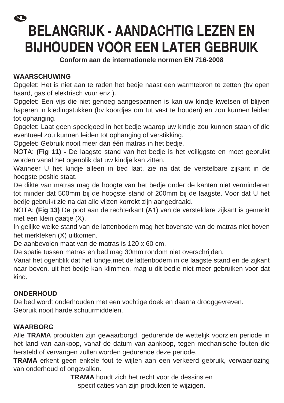### $\mathbf{C}$

## **BELANGRIJK - AANDACHTIG LEZEN EN BIJHOUDEN VOOR EEN LATER GEBRUIK**

**Conform aan de internationele normen EN 716-2008** 

### **WAARSCHUWING**

Opgelet: Het is niet aan te raden het bedje naast een warmtebron te zetten (bv open haard, gas of elektrisch vuur enz.).

Opgelet: Een vijs die niet genoeg aangespannen is kan uw kindje kwetsen of blijven haperen in kledingstukken (bv koordjes om tut vast te houden) en zou kunnen leiden tot ophanging.

Opgelet: Laat geen speelgoed in het bedje waarop uw kindje zou kunnen staan of die eventueel zou kunnen leiden tot ophanging of verstikking.

Opgelet: Gebruik nooit meer dan één matras in het bedje.

NOTA: **(Fig 11) -** De laagste stand van het bedje is het veiliggste en moet gebruikt worden vanaf het ogenblik dat uw kindje kan zitten.

Wanneer U het kindje alleen in bed laat, zie na dat de verstelbare zijkant in de hoogste positie staat.

De dikte van matras mag de hoogte van het bedje onder de kanten niet verminderen tot minder dat 500mm bij de hoogste stand of 200mm bij de laagste. Voor dat U het bedje gebruikt zie na dat alle vijzen korrekt zijn aangedraaid.

NOTA: **(Fig 13)** De poot aan de rechterkant (A1) van de versteldare zijkant is gemerkt met een klein gaatje (X).

In gelijke welke stand van de lattenbodem mag het bovenste van de matras niet boven het merkteken (X) uitkomen.

De aanbevolen maat van de matras is 120 x 60 cm.

De spatie tussen matras en bed mag 30mm rondom niet overschrijden.

Vanaf het ogenblik dat het kindje,met de lattenbodem in de laagste stand en de zijkant naar boven, uit het bedje kan klimmen, mag u dit bedje niet meer gebruiken voor dat kind.

### **ONDERHOUD**

De bed wordt onderhouden met een vochtige doek en daarna drooggevreven. Gebruik nooit harde schuurmiddelen.

### **WAARBORG**

Alle **TRAMA** produkten zijn gewaarborgd, gedurende de wettelijk voorzien periode in het land van aankoop, vanaf de datum van aankoop, tegen mechanische fouten die hersteld of vervangen zullen worden gedurende deze periode.

**TRAMA** erkent geen enkele fout te wijten aan een verkeerd gebruik, verwaarlozing van onderhoud of ongevallen.

> **TRAMA** houdt zich het recht voor de dessins en specificaties van zijn produkten te wijzigen.